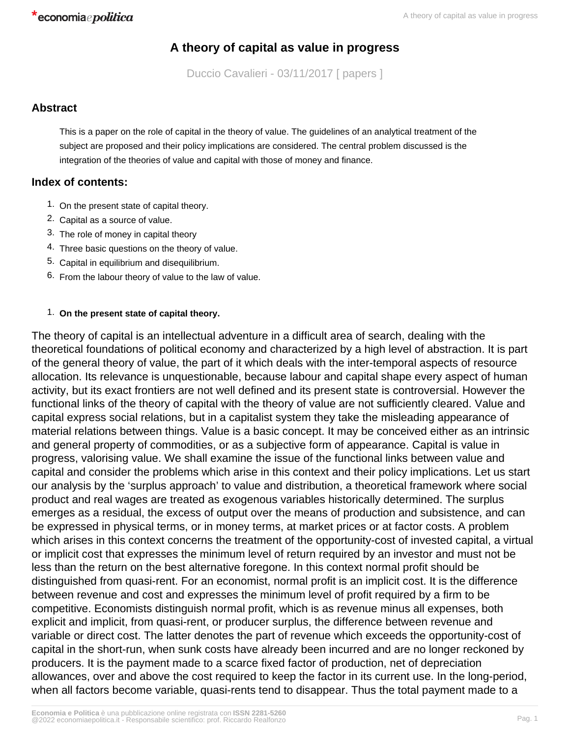# **A theory of capital as value in progress**

Duccio Cavalieri - 03/11/2017 [ papers ]

# **Abstract**

This is a paper on the role of capital in the theory of value. The guidelines of an analytical treatment of the subject are proposed and their policy implications are considered. The central problem discussed is the integration of the theories of value and capital with those of money and finance.

# **Index of contents:**

- 1. On the present state of capital theory.
- 2. Capital as a source of value.
- 3. The role of money in capital theory
- 4. Three basic questions on the theory of value.
- 5. Capital in equilibrium and disequilibrium.
- 6. From the labour theory of value to the law of value.

## 1. **On the present state of capital theory.**

The theory of capital is an intellectual adventure in a difficult area of search, dealing with the theoretical foundations of political economy and characterized by a high level of abstraction. It is part of the general theory of value, the part of it which deals with the inter-temporal aspects of resource allocation. Its relevance is unquestionable, because labour and capital shape every aspect of human activity, but its exact frontiers are not well defined and its present state is controversial. However the functional links of the theory of capital with the theory of value are not sufficiently cleared. Value and capital express social relations, but in a capitalist system they take the misleading appearance of material relations between things. Value is a basic concept. It may be conceived either as an intrinsic and general property of commodities, or as a subjective form of appearance. Capital is value in progress, valorising value. We shall examine the issue of the functional links between value and capital and consider the problems which arise in this context and their policy implications. Let us start our analysis by the 'surplus approach' to value and distribution, a theoretical framework where social product and real wages are treated as exogenous variables historically determined. The surplus emerges as a residual, the excess of output over the means of production and subsistence, and can be expressed in physical terms, or in money terms, at market prices or at factor costs. A problem which arises in this context concerns the treatment of the opportunity-cost of invested capital, a virtual or implicit cost that expresses the minimum level of return required by an investor and must not be less than the return on the best alternative foregone. In this context normal profit should be distinguished from quasi-rent. For an economist, normal profit is an implicit cost. It is the difference between revenue and cost and expresses the minimum level of profit required by a firm to be competitive. Economists distinguish normal profit, which is as revenue minus all expenses, both explicit and implicit, from quasi-rent, or producer surplus, the difference between revenue and variable or direct cost. The latter denotes the part of revenue which exceeds the opportunity-cost of capital in the short-run, when sunk costs have already been incurred and are no longer reckoned by producers. It is the payment made to a scarce fixed factor of production, net of depreciation allowances, over and above the cost required to keep the factor in its current use. In the long-period, when all factors become variable, quasi-rents tend to disappear. Thus the total payment made to a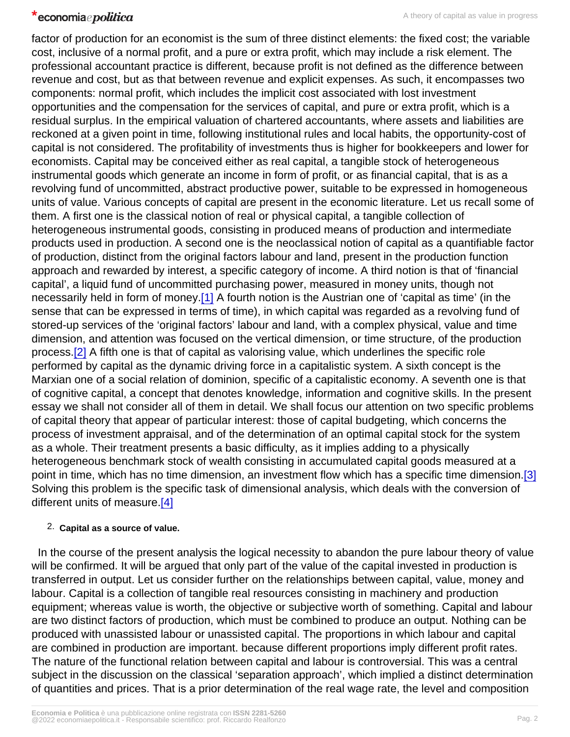<span id="page-1-0"></span>factor of production for an economist is the sum of three distinct elements: the fixed cost; the variable cost, inclusive of a normal profit, and a pure or extra profit, which may include a risk element. The professional accountant practice is different, because profit is not defined as the difference between revenue and cost, but as that between revenue and explicit expenses. As such, it encompasses two components: normal profit, which includes the implicit cost associated with lost investment opportunities and the compensation for the services of capital, and pure or extra profit, which is a residual surplus. In the empirical valuation of chartered accountants, where assets and liabilities are reckoned at a given point in time, following institutional rules and local habits, the opportunity-cost of capital is not considered. The profitability of investments thus is higher for bookkeepers and lower for economists. Capital may be conceived either as real capital, a tangible stock of heterogeneous instrumental goods which generate an income in form of profit, or as financial capital, that is as a revolving fund of uncommitted, abstract productive power, suitable to be expressed in homogeneous units of value. Various concepts of capital are present in the economic literature. Let us recall some of them. A first one is the classical notion of real or physical capital, a tangible collection of heterogeneous instrumental goods, consisting in produced means of production and intermediate products used in production. A second one is the neoclassical notion of capital as a quantifiable factor of production, distinct from the original factors labour and land, present in the production function approach and rewarded by interest, a specific category of income. A third notion is that of 'financial capital', a liquid fund of uncommitted purchasing power, measured in money units, though not necessarily held in form of money[.\[1\]](#page-6-0) A fourth notion is the Austrian one of 'capital as time' (in the sense that can be expressed in terms of time), in which capital was regarded as a revolving fund of stored-up services of the 'original factors' labour and land, with a complex physical, value and time dimension, and attention was focused on the vertical dimension, or time structure, of the production process[.\[2\]](#page-6-0) A fifth one is that of capital as valorising value, which underlines the specific role performed by capital as the dynamic driving force in a capitalistic system. A sixth concept is the Marxian one of a social relation of dominion, specific of a capitalistic economy. A seventh one is that of cognitive capital, a concept that denotes knowledge, information and cognitive skills. In the present essay we shall not consider all of them in detail. We shall focus our attention on two specific problems of capital theory that appear of particular interest: those of capital budgeting, which concerns the process of investment appraisal, and of the determination of an optimal capital stock for the system as a whole. Their treatment presents a basic difficulty, as it implies adding to a physically heterogeneous benchmark stock of wealth consisting in accumulated capital goods measured at a point in time, which has no time dimension, an investment flow which has a specific time dimension.[\[3\]](#page-6-0) Solving this problem is the specific task of dimensional analysis, which deals with the conversion of different units of measure.[\[4\]](#page-6-0)

## 2. Capital as a source of value.

 In the course of the present analysis the logical necessity to abandon the pure labour theory of value will be confirmed. It will be argued that only part of the value of the capital invested in production is transferred in output. Let us consider further on the relationships between capital, value, money and labour. Capital is a collection of tangible real resources consisting in machinery and production equipment; whereas value is worth, the objective or subjective worth of something. Capital and labour are two distinct factors of production, which must be combined to produce an output. Nothing can be produced with unassisted labour or unassisted capital. The proportions in which labour and capital are combined in production are important. because different proportions imply different profit rates. The nature of the functional relation between capital and labour is controversial. This was a central subject in the discussion on the classical 'separation approach', which implied a distinct determination of quantities and prices. That is a prior determination of the real wage rate, the level and composition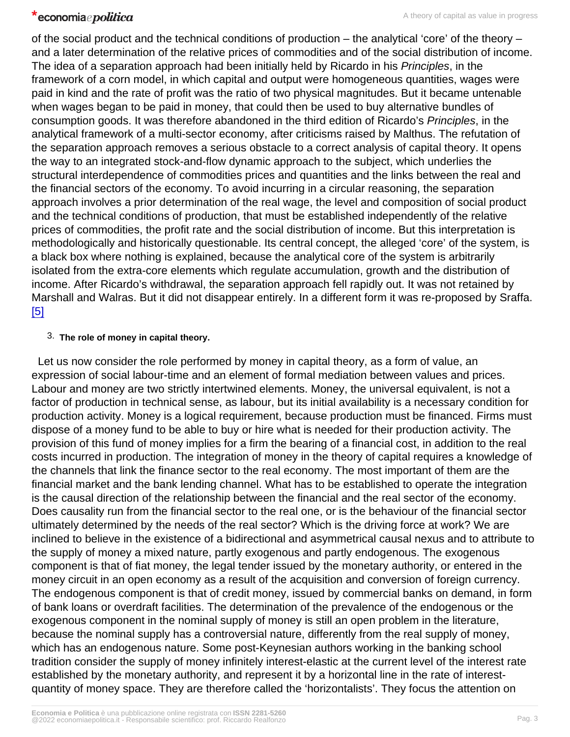<span id="page-2-0"></span>of the social product and the technical conditions of production – the analytical 'core' of the theory – and a later determination of the relative prices of commodities and of the social distribution of income. The idea of a separation approach had been initially held by Ricardo in his Principles, in the framework of a corn model, in which capital and output were homogeneous quantities, wages were paid in kind and the rate of profit was the ratio of two physical magnitudes. But it became untenable when wages began to be paid in money, that could then be used to buy alternative bundles of consumption goods. It was therefore abandoned in the third edition of Ricardo's Principles, in the analytical framework of a multi-sector economy, after criticisms raised by Malthus. The refutation of the separation approach removes a serious obstacle to a correct analysis of capital theory. It opens the way to an integrated stock-and-flow dynamic approach to the subject, which underlies the structural interdependence of commodities prices and quantities and the links between the real and the financial sectors of the economy. To avoid incurring in a circular reasoning, the separation approach involves a prior determination of the real wage, the level and composition of social product and the technical conditions of production, that must be established independently of the relative prices of commodities, the profit rate and the social distribution of income. But this interpretation is methodologically and historically questionable. Its central concept, the alleged 'core' of the system, is a black box where nothing is explained, because the analytical core of the system is arbitrarily isolated from the extra-core elements which regulate accumulation, growth and the distribution of income. After Ricardo's withdrawal, the separation approach fell rapidly out. It was not retained by Marshall and Walras. But it did not disappear entirely. In a different form it was re-proposed by Sraffa. [\[5\]](#page-6-0)

## 3. The role of money in capital theory.

 Let us now consider the role performed by money in capital theory, as a form of value, an expression of social labour-time and an element of formal mediation between values and prices. Labour and money are two strictly intertwined elements. Money, the universal equivalent, is not a factor of production in technical sense, as labour, but its initial availability is a necessary condition for production activity. Money is a logical requirement, because production must be financed. Firms must dispose of a money fund to be able to buy or hire what is needed for their production activity. The provision of this fund of money implies for a firm the bearing of a financial cost, in addition to the real costs incurred in production. The integration of money in the theory of capital requires a knowledge of the channels that link the finance sector to the real economy. The most important of them are the financial market and the bank lending channel. What has to be established to operate the integration is the causal direction of the relationship between the financial and the real sector of the economy. Does causality run from the financial sector to the real one, or is the behaviour of the financial sector ultimately determined by the needs of the real sector? Which is the driving force at work? We are inclined to believe in the existence of a bidirectional and asymmetrical causal nexus and to attribute to the supply of money a mixed nature, partly exogenous and partly endogenous. The exogenous component is that of fiat money, the legal tender issued by the monetary authority, or entered in the money circuit in an open economy as a result of the acquisition and conversion of foreign currency. The endogenous component is that of credit money, issued by commercial banks on demand, in form of bank loans or overdraft facilities. The determination of the prevalence of the endogenous or the exogenous component in the nominal supply of money is still an open problem in the literature, because the nominal supply has a controversial nature, differently from the real supply of money, which has an endogenous nature. Some post-Keynesian authors working in the banking school tradition consider the supply of money infinitely interest-elastic at the current level of the interest rate established by the monetary authority, and represent it by a horizontal line in the rate of interestquantity of money space. They are therefore called the 'horizontalists'. They focus the attention on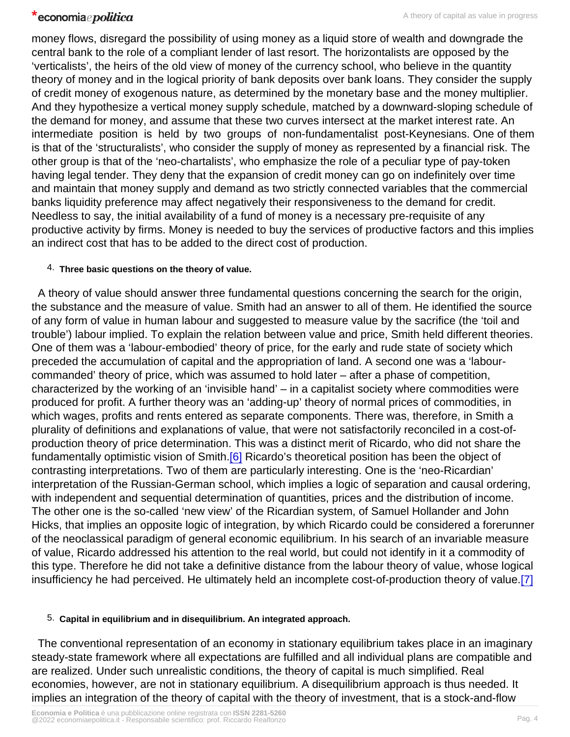<span id="page-3-0"></span>money flows, disregard the possibility of using money as a liquid store of wealth and downgrade the central bank to the role of a compliant lender of last resort. The horizontalists are opposed by the 'verticalists', the heirs of the old view of money of the currency school, who believe in the quantity theory of money and in the logical priority of bank deposits over bank loans. They consider the supply of credit money of exogenous nature, as determined by the monetary base and the money multiplier. And they hypothesize a vertical money supply schedule, matched by a downward-sloping schedule of the demand for money, and assume that these two curves intersect at the market interest rate. An intermediate position is held by two groups of non-fundamentalist post-Keynesians. One of them is that of the 'structuralists', who consider the supply of money as represented by a financial risk. The other group is that of the 'neo-chartalists', who emphasize the role of a peculiar type of pay-token having legal tender. They deny that the expansion of credit money can go on indefinitely over time and maintain that money supply and demand as two strictly connected variables that the commercial banks liquidity preference may affect negatively their responsiveness to the demand for credit. Needless to say, the initial availability of a fund of money is a necessary pre-requisite of any productive activity by firms. Money is needed to buy the services of productive factors and this implies an indirect cost that has to be added to the direct cost of production.

#### 4. Three basic questions on the theory of value.

 A theory of value should answer three fundamental questions concerning the search for the origin, the substance and the measure of value. Smith had an answer to all of them. He identified the source of any form of value in human labour and suggested to measure value by the sacrifice (the 'toil and trouble') labour implied. To explain the relation between value and price, Smith held different theories. One of them was a 'labour-embodied' theory of price, for the early and rude state of society which preceded the accumulation of capital and the appropriation of land. A second one was a 'labourcommanded' theory of price, which was assumed to hold later – after a phase of competition, characterized by the working of an 'invisible hand' – in a capitalist society where commodities were produced for profit. A further theory was an 'adding-up' theory of normal prices of commodities, in which wages, profits and rents entered as separate components. There was, therefore, in Smith a plurality of definitions and explanations of value, that were not satisfactorily reconciled in a cost-ofproduction theory of price determination. This was a distinct merit of Ricardo, who did not share the fundamentally optimistic vision of Smith.<sup>[\[6\]](#page-6-0)</sup> Ricardo's theoretical position has been the object of contrasting interpretations. Two of them are particularly interesting. One is the 'neo-Ricardian' interpretation of the Russian-German school, which implies a logic of separation and causal ordering, with independent and sequential determination of quantities, prices and the distribution of income. The other one is the so-called 'new view' of the Ricardian system, of Samuel Hollander and John Hicks, that implies an opposite logic of integration, by which Ricardo could be considered a forerunner of the neoclassical paradigm of general economic equilibrium. In his search of an invariable measure of value, Ricardo addressed his attention to the real world, but could not identify in it a commodity of this type. Therefore he did not take a definitive distance from the labour theory of value, whose logical insufficiency he had perceived. He ultimately held an incomplete cost-of-production theory of value.[\[7\]](#page-7-0)

5. Capital in equilibrium and in disequilibrium. An integrated approach.

 The conventional representation of an economy in stationary equilibrium takes place in an imaginary steady-state framework where all expectations are fulfilled and all individual plans are compatible and are realized. Under such unrealistic conditions, the theory of capital is much simplified. Real economies, however, are not in stationary equilibrium. A disequilibrium approach is thus needed. It implies an integration of the theory of capital with the theory of investment, that is a stock-and-flow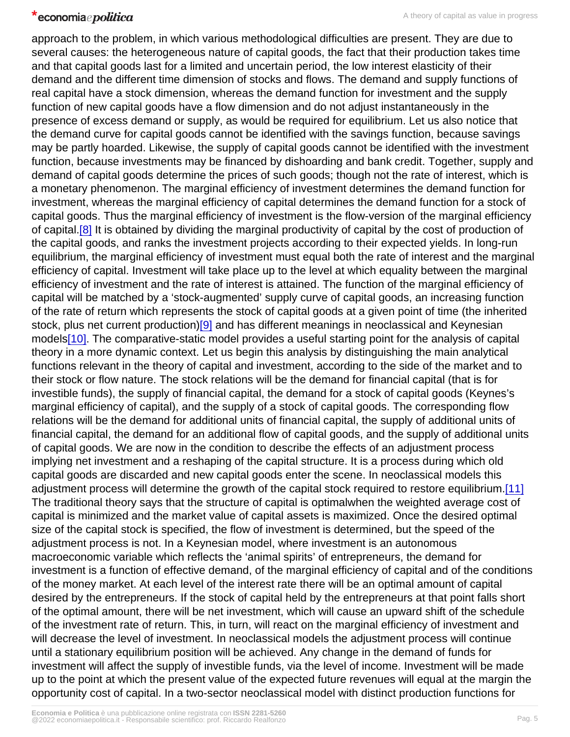<span id="page-4-0"></span>approach to the problem, in which various methodological difficulties are present. They are due to several causes: the heterogeneous nature of capital goods, the fact that their production takes time and that capital goods last for a limited and uncertain period, the low interest elasticity of their demand and the different time dimension of stocks and flows. The demand and supply functions of real capital have a stock dimension, whereas the demand function for investment and the supply function of new capital goods have a flow dimension and do not adjust instantaneously in the presence of excess demand or supply, as would be required for equilibrium. Let us also notice that the demand curve for capital goods cannot be identified with the savings function, because savings may be partly hoarded. Likewise, the supply of capital goods cannot be identified with the investment function, because investments may be financed by dishoarding and bank credit. Together, supply and demand of capital goods determine the prices of such goods; though not the rate of interest, which is a monetary phenomenon. The marginal efficiency of investment determines the demand function for investment, whereas the marginal efficiency of capital determines the demand function for a stock of capital goods. Thus the marginal efficiency of investment is the flow-version of the marginal efficiency of capital.<sup>[8]</sup> It is obtained by dividing the marginal productivity of capital by the cost of production of the capital goods, and ranks the investment projects according to their expected yields. In long-run equilibrium, the marginal efficiency of investment must equal both the rate of interest and the marginal efficiency of capital. Investment will take place up to the level at which equality between the marginal efficiency of investment and the rate of interest is attained. The function of the marginal efficiency of capital will be matched by a 'stock-augmented' supply curve of capital goods, an increasing function of the rate of return which represents the stock of capital goods at a given point of time (the inherited stock, plus net current production)[\[9\]](#page-7-0) and has different meanings in neoclassical and Keynesian models[\[10\].](#page-7-0) The comparative-static model provides a useful starting point for the analysis of capital theory in a more dynamic context. Let us begin this analysis by distinguishing the main analytical functions relevant in the theory of capital and investment, according to the side of the market and to their stock or flow nature. The stock relations will be the demand for financial capital (that is for investible funds), the supply of financial capital, the demand for a stock of capital goods (Keynes's marginal efficiency of capital), and the supply of a stock of capital goods. The corresponding flow relations will be the demand for additional units of financial capital, the supply of additional units of financial capital, the demand for an additional flow of capital goods, and the supply of additional units of capital goods. We are now in the condition to describe the effects of an adjustment process implying net investment and a reshaping of the capital structure. It is a process during which old capital goods are discarded and new capital goods enter the scene. In neoclassical models this adjustment process will determine the growth of the capital stock required to restore equilibrium.[\[11\]](#page-7-0) The traditional theory says that the structure of capital is optimalwhen the weighted average cost of capital is minimized and the market value of capital assets is maximized. Once the desired optimal size of the capital stock is specified, the flow of investment is determined, but the speed of the adjustment process is not. In a Keynesian model, where investment is an autonomous macroeconomic variable which reflects the 'animal spirits' of entrepreneurs, the demand for investment is a function of effective demand, of the marginal efficiency of capital and of the conditions of the money market. At each level of the interest rate there will be an optimal amount of capital desired by the entrepreneurs. If the stock of capital held by the entrepreneurs at that point falls short of the optimal amount, there will be net investment, which will cause an upward shift of the schedule of the investment rate of return. This, in turn, will react on the marginal efficiency of investment and will decrease the level of investment. In neoclassical models the adjustment process will continue until a stationary equilibrium position will be achieved. Any change in the demand of funds for investment will affect the supply of investible funds, via the level of income. Investment will be made up to the point at which the present value of the expected future revenues will equal at the margin the opportunity cost of capital. In a two-sector neoclassical model with distinct production functions for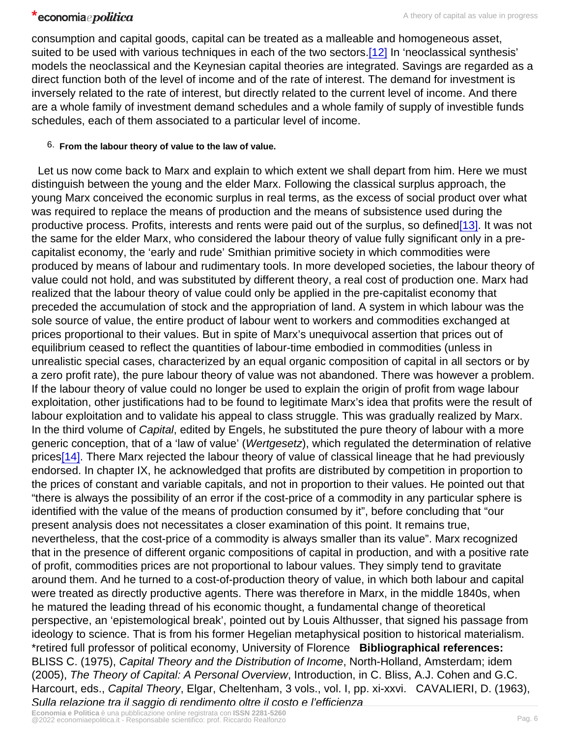<span id="page-5-0"></span>consumption and capital goods, capital can be treated as a malleable and homogeneous asset, suited to be used with various techniques in each of the two sectors.<sup>[12]</sup> In 'neoclassical synthesis' models the neoclassical and the Keynesian capital theories are integrated. Savings are regarded as a direct function both of the level of income and of the rate of interest. The demand for investment is inversely related to the rate of interest, but directly related to the current level of income. And there are a whole family of investment demand schedules and a whole family of supply of investible funds schedules, each of them associated to a particular level of income.

6. From the labour theory of value to the law of value.

 Let us now come back to Marx and explain to which extent we shall depart from him. Here we must distinguish between the young and the elder Marx. Following the classical surplus approach, the young Marx conceived the economic surplus in real terms, as the excess of social product over what was required to replace the means of production and the means of subsistence used during the productive process. Profits, interests and rents were paid out of the surplus, so defined<sup>[13]</sup>. It was not the same for the elder Marx, who considered the labour theory of value fully significant only in a precapitalist economy, the 'early and rude' Smithian primitive society in which commodities were produced by means of labour and rudimentary tools. In more developed societies, the labour theory of value could not hold, and was substituted by different theory, a real cost of production one. Marx had realized that the labour theory of value could only be applied in the pre-capitalist economy that preceded the accumulation of stock and the appropriation of land. A system in which labour was the sole source of value, the entire product of labour went to workers and commodities exchanged at prices proportional to their values. But in spite of Marx's unequivocal assertion that prices out of equilibrium ceased to reflect the quantities of labour-time embodied in commodities (unless in unrealistic special cases, characterized by an equal organic composition of capital in all sectors or by a zero profit rate), the pure labour theory of value was not abandoned. There was however a problem. If the labour theory of value could no longer be used to explain the origin of profit from wage labour exploitation, other justifications had to be found to legitimate Marx's idea that profits were the result of labour exploitation and to validate his appeal to class struggle. This was gradually realized by Marx. In the third volume of Capital, edited by Engels, he substituted the pure theory of labour with a more generic conception, that of a 'law of value' (Wertgesetz), which regulated the determination of relative prices<sup>[14]</sup>. There Marx rejected the labour theory of value of classical lineage that he had previously endorsed. In chapter IX, he acknowledged that profits are distributed by competition in proportion to the prices of constant and variable capitals, and not in proportion to their values. He pointed out that "there is always the possibility of an error if the cost-price of a commodity in any particular sphere is identified with the value of the means of production consumed by it", before concluding that "our present analysis does not necessitates a closer examination of this point. It remains true, nevertheless, that the cost-price of a commodity is always smaller than its value". Marx recognized that in the presence of different organic compositions of capital in production, and with a positive rate of profit, commodities prices are not proportional to labour values. They simply tend to gravitate around them. And he turned to a cost-of-production theory of value, in which both labour and capital were treated as directly productive agents. There was therefore in Marx, in the middle 1840s, when he matured the leading thread of his economic thought, a fundamental change of theoretical perspective, an 'epistemological break', pointed out by Louis Althusser, that signed his passage from ideology to science. That is from his former Hegelian metaphysical position to historical materialism. \*retired full professor of political economy, University of Florence Bibliographical references: BLISS C. (1975), Capital Theory and the Distribution of Income, North-Holland, Amsterdam; idem (2005), The Theory of Capital: A Personal Overview, Introduction, in C. Bliss, A.J. Cohen and G.C. Harcourt, eds., Capital Theory, Elgar, Cheltenham, 3 vols., vol. I, pp. xi-xxvi. CAVALIERI, D. (1963), Sulla relazione tra il saggio di rendimento oltre il costo e l'efficienza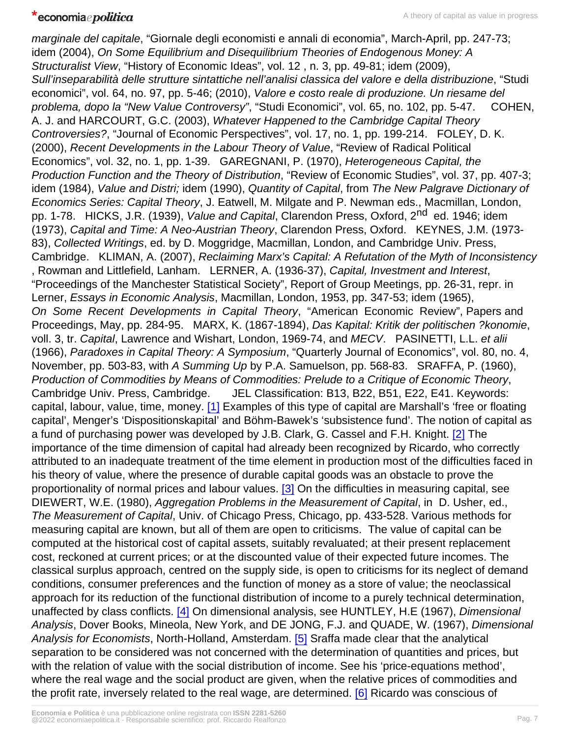<span id="page-6-0"></span>marginale del capitale, "Giornale degli economisti e annali di economia", March-April, pp. 247-73; idem (2004), On Some Equilibrium and Disequilibrium Theories of Endogenous Money: A Structuralist View, "History of Economic Ideas", vol. 12 , n. 3, pp. 49-81; idem (2009), Sull'inseparabilità delle strutture sintattiche nell'analisi classica del valore e della distribuzione, "Studi economici", vol. 64, no. 97, pp. 5-46; (2010), Valore e costo reale di produzione. Un riesame del problema, dopo la "New Value Controversy", "Studi Economici", vol. 65, no. 102, pp. 5-47. COHEN, A. J. and HARCOURT, G.C. (2003), Whatever Happened to the Cambridge Capital Theory Controversies?, "Journal of Economic Perspectives", vol. 17, no. 1, pp. 199-214. FOLEY, D. K. (2000), Recent Developments in the Labour Theory of Value, "Review of Radical Political Economics", vol. 32, no. 1, pp. 1-39. GAREGNANI, P. (1970), Heterogeneous Capital, the Production Function and the Theory of Distribution, "Review of Economic Studies", vol. 37, pp. 407-3; idem (1984), Value and Distri; idem (1990), Quantity of Capital, from The New Palgrave Dictionary of Economics Series: Capital Theory, J. Eatwell, M. Milgate and P. Newman eds., Macmillan, London, pp. 1-78. HICKS, J.R. (1939), Value and Capital, Clarendon Press, Oxford, 2<sup>nd</sup> ed. 1946: idem (1973), Capital and Time: A Neo-Austrian Theory, Clarendon Press, Oxford. KEYNES, J.M. (1973- 83), Collected Writings, ed. by D. Moggridge, Macmillan, London, and Cambridge Univ. Press, Cambridge. KLIMAN, A. (2007), Reclaiming Marx's Capital: A Refutation of the Myth of Inconsistency , Rowman and Littlefield, Lanham. LERNER, A. (1936-37), Capital, Investment and Interest, "Proceedings of the Manchester Statistical Society", Report of Group Meetings, pp. 26-31, repr. in Lerner, Essays in Economic Analysis, Macmillan, London, 1953, pp. 347-53; idem (1965), On Some Recent Developments in Capital Theory, "American Economic Review", Papers and Proceedings, May, pp. 284-95. MARX, K. (1867-1894), Das Kapital: Kritik der politischen ?konomie, voll. 3, tr. Capital, Lawrence and Wishart, London, 1969-74, and MECV. PASINETTI, L.L. et alii (1966), Paradoxes in Capital Theory: A Symposium, "Quarterly Journal of Economics", vol. 80, no. 4, November, pp. 503-83, with A Summing Up by P.A. Samuelson, pp. 568-83. SRAFFA, P. (1960), Production of Commodities by Means of Commodities: Prelude to a Critique of Economic Theory, Cambridge Univ. Press, Cambridge. JEL Classification: B13, B22, B51, E22, E41. Keywords: capital, labour, value, time, money. [\[1\]](#page-1-0) Examples of this type of capital are Marshall's 'free or floating capital', Menger's 'Dispositionskapital' and Böhm-Bawek's 'subsistence fund'. The notion of capital as a fund of purchasing power was developed by J.B. Clark, G. Cassel and F.H. Knight. [\[2\]](#page-1-0) The importance of the time dimension of capital had already been recognized by Ricardo, who correctly attributed to an inadequate treatment of the time element in production most of the difficulties faced in his theory of value, where the presence of durable capital goods was an obstacle to prove the proportionality of normal prices and labour values. [\[3\]](#page-1-0) On the difficulties in measuring capital, see DIEWERT, W.E. (1980), Aggregation Problems in the Measurement of Capital, in D. Usher, ed., The Measurement of Capital, Univ. of Chicago Press, Chicago, pp. 433-528. Various methods for measuring capital are known, but all of them are open to criticisms. The value of capital can be computed at the historical cost of capital assets, suitably revaluated; at their present replacement cost, reckoned at current prices; or at the discounted value of their expected future incomes. The classical surplus approach, centred on the supply side, is open to criticisms for its neglect of demand conditions, consumer preferences and the function of money as a store of value; the neoclassical approach for its reduction of the functional distribution of income to a purely technical determination, unaffected by class conflicts. [\[4\]](#page-1-0) On dimensional analysis, see HUNTLEY, H.E (1967), Dimensional Analysis, Dover Books, Mineola, New York, and DE JONG, F.J. and QUADE, W. (1967), Dimensional Analysis for Economists, North-Holland, Amsterdam. [\[5\]](#page-2-0) Sraffa made clear that the analytical separation to be considered was not concerned with the determination of quantities and prices, but with the relation of value with the social distribution of income. See his 'price-equations method', where the real wage and the social product are given, when the relative prices of commodities and the profit rate, inversely related to the real wage, are determined. [\[6\]](#page-3-0) Ricardo was conscious of